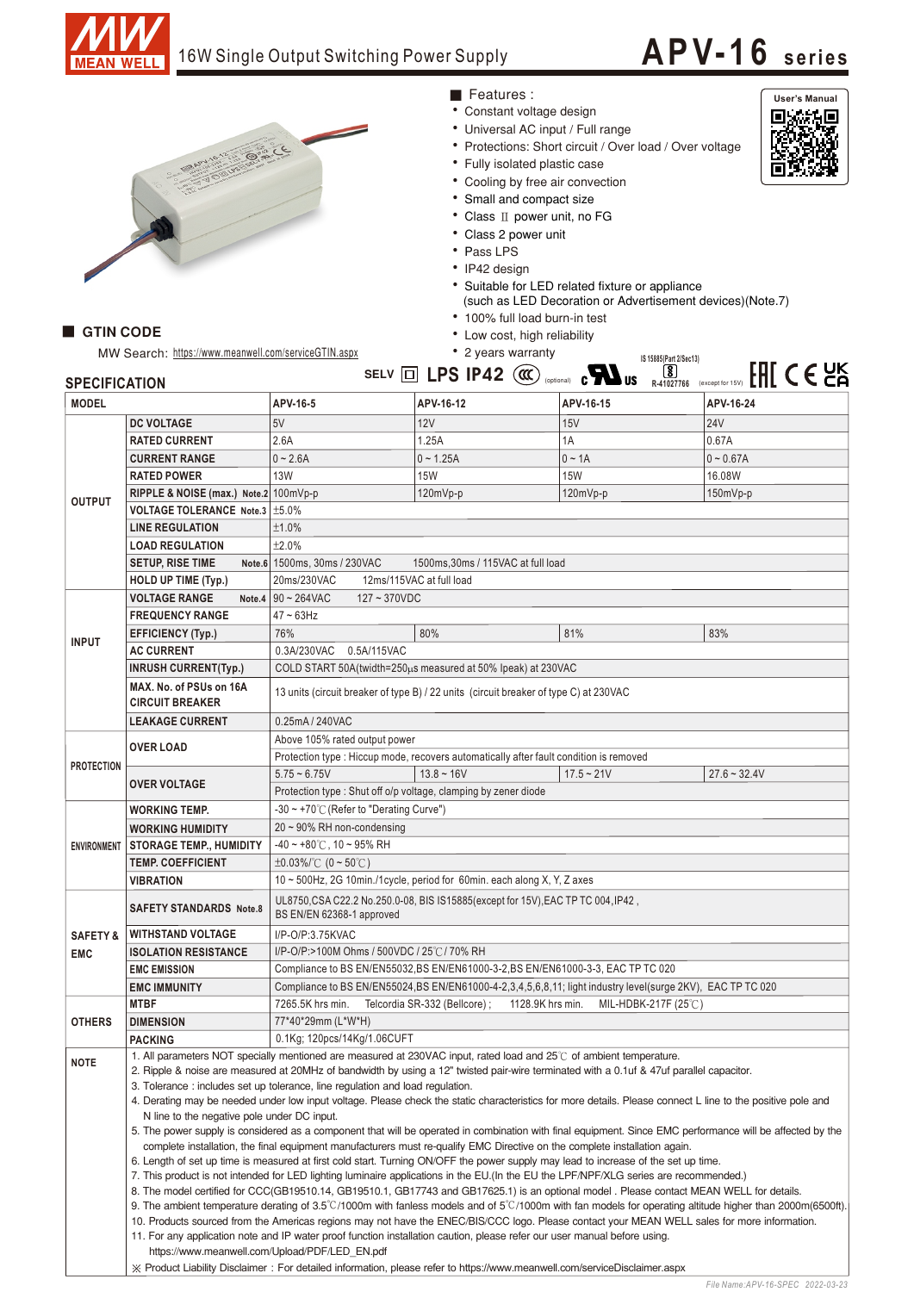

GTIN CODE

## 16W Single Output Switching Power Supply

# **APV-16 <sup>s</sup> <sup>e</sup> ri es**

User's Manual<br>**Execute** 

ħÐ



### • Constant voltage design ■ Features :

- Universal AC input / Full range
- 
- Protections: Short circuit / Over load / Over voltage
- Fully isolated plastic case
- Cooling by free air convection
- Small and compact size
- Class II power unit, no FG • Class 2 power unit
- 
- Pass LPS
- IP42 design
- Suitable for LED related fixture or appliance (such as LED Decoration or Advertisement devices) (Note.7)
- 100% full load burn-in test
- Low cost, high reliability

|                      | MW Search: https://www.meanwell.com/serviceGTIN.aspx |                                                                                        | • 2 years warranty                 | IS 15885(Part 2/Sec13)                                                               |                  |  |  |
|----------------------|------------------------------------------------------|----------------------------------------------------------------------------------------|------------------------------------|--------------------------------------------------------------------------------------|------------------|--|--|
| <b>SPECIFICATION</b> |                                                      |                                                                                        | SELV $\Box$ LPS IP42 $(\alpha)$    | $\overline{\bm{S}}$<br>$\epsilon$ <b>N</b> <sub>us</sub><br>(optional)<br>R-41027766 | (except for 15V) |  |  |
| <b>MODEL</b>         |                                                      | APV-16-5                                                                               | APV-16-12                          | APV-16-15                                                                            | APV-16-24        |  |  |
| <b>OUTPUT</b>        | <b>DC VOLTAGE</b>                                    | 5V                                                                                     | 12V                                | 15V                                                                                  | <b>24V</b>       |  |  |
|                      | <b>RATED CURRENT</b>                                 | 2.6A                                                                                   | 1.25A                              | 1A                                                                                   | 0.67A            |  |  |
|                      | <b>CURRENT RANGE</b>                                 | $0 - 2.6A$                                                                             | $0 - 1.25A$                        | $0 \sim 1A$                                                                          | $0 - 0.67A$      |  |  |
|                      | <b>RATED POWER</b>                                   | <b>13W</b>                                                                             | <b>15W</b>                         | <b>15W</b>                                                                           | 16.08W           |  |  |
|                      | RIPPLE & NOISE (max.) Note.2 100mVp-p                |                                                                                        | 120mVp-p                           | $120mVp-p$                                                                           | 150mVp-p         |  |  |
|                      | VOLTAGE TOLERANCE Note.3   ±5.0%                     |                                                                                        |                                    |                                                                                      |                  |  |  |
|                      | <b>LINE REGULATION</b>                               | ±1.0%                                                                                  |                                    |                                                                                      |                  |  |  |
|                      | <b>LOAD REGULATION</b>                               | ±2.0%                                                                                  |                                    |                                                                                      |                  |  |  |
|                      | <b>SETUP, RISE TIME</b>                              | Note.6 1500ms, 30ms / 230VAC                                                           | 1500ms, 30ms / 115VAC at full load |                                                                                      |                  |  |  |
|                      | HOLD UP TIME (Typ.)                                  | 20ms/230VAC<br>12ms/115VAC at full load                                                |                                    |                                                                                      |                  |  |  |
| <b>INPUT</b>         | <b>VOLTAGE RANGE</b><br>Note.4                       | $90 - 264$ VAC<br>$127 - 370$ VDC                                                      |                                    |                                                                                      |                  |  |  |
|                      | <b>FREQUENCY RANGE</b>                               | $47 \sim 63$ Hz                                                                        |                                    |                                                                                      |                  |  |  |
|                      | <b>EFFICIENCY (Typ.)</b>                             | 76%                                                                                    | 80%                                | 81%                                                                                  | 83%              |  |  |
|                      | <b>AC CURRENT</b>                                    | 0.3A/230VAC<br>0.5A/115VAC                                                             |                                    |                                                                                      |                  |  |  |
|                      | <b>INRUSH CURRENT(Typ.)</b>                          | COLD START 50A(twidth=250pcs measured at 50% lpeak) at 230VAC                          |                                    |                                                                                      |                  |  |  |
|                      | MAX. No. of PSUs on 16A<br><b>CIRCUIT BREAKER</b>    | 13 units (circuit breaker of type B) / 22 units (circuit breaker of type C) at 230VAC  |                                    |                                                                                      |                  |  |  |
|                      | <b>LEAKAGE CURRENT</b>                               | 0.25mA / 240VAC                                                                        |                                    |                                                                                      |                  |  |  |
| <b>PROTECTION</b>    | <b>OVER LOAD</b>                                     | Above 105% rated output power                                                          |                                    |                                                                                      |                  |  |  |
|                      |                                                      | Protection type : Hiccup mode, recovers automatically after fault condition is removed |                                    |                                                                                      |                  |  |  |
|                      |                                                      | $5.75 - 6.75V$                                                                         | $13.8 - 16V$                       | $17.5 - 21V$                                                                         | $27.6 - 32.$     |  |  |
|                      | <b>OVER VOLTAGE</b>                                  | Protection type: Shut off o/p voltage, clamping by zener diode                         |                                    |                                                                                      |                  |  |  |

# **IS 15885(Part 2/Sec13) R-41027766** (except for 15V)

| ┉◡◡▃                |                                                                                                                                                                                                                                                                                                           | יטויות                                                                                                            |              |              |                |  |  |  |
|---------------------|-----------------------------------------------------------------------------------------------------------------------------------------------------------------------------------------------------------------------------------------------------------------------------------------------------------|-------------------------------------------------------------------------------------------------------------------|--------------|--------------|----------------|--|--|--|
|                     | <b>DC VOLTAGE</b>                                                                                                                                                                                                                                                                                         | 5V                                                                                                                | 12V          | 15V          | <b>24V</b>     |  |  |  |
|                     | <b>RATED CURRENT</b>                                                                                                                                                                                                                                                                                      | 2.6A                                                                                                              | 1.25A        | 1A           | 0.67A          |  |  |  |
|                     | <b>CURRENT RANGE</b>                                                                                                                                                                                                                                                                                      | $0 - 2.6A$                                                                                                        | $0 - 1.25A$  | $0 \sim 1A$  | $0 - 0.67A$    |  |  |  |
|                     | <b>RATED POWER</b>                                                                                                                                                                                                                                                                                        | <b>13W</b>                                                                                                        | <b>15W</b>   | <b>15W</b>   | 16.08W         |  |  |  |
|                     | RIPPLE & NOISE (max.) Note.2 100mVp-p                                                                                                                                                                                                                                                                     |                                                                                                                   | 120mVp-p     | 120mVp-p     | 150mVp-p       |  |  |  |
| <b>OUTPUT</b>       | VOLTAGE TOLERANCE Note.3   ±5.0%                                                                                                                                                                                                                                                                          |                                                                                                                   |              |              |                |  |  |  |
|                     | <b>LINE REGULATION</b>                                                                                                                                                                                                                                                                                    | ±1.0%                                                                                                             |              |              |                |  |  |  |
|                     | <b>LOAD REGULATION</b>                                                                                                                                                                                                                                                                                    | ±2.0%                                                                                                             |              |              |                |  |  |  |
|                     | <b>SETUP, RISE TIME</b>                                                                                                                                                                                                                                                                                   | Note.6 1500ms, 30ms / 230VAC<br>1500ms, 30ms / 115VAC at full load                                                |              |              |                |  |  |  |
|                     | <b>HOLD UP TIME (Typ.)</b>                                                                                                                                                                                                                                                                                | 20ms/230VAC<br>12ms/115VAC at full load                                                                           |              |              |                |  |  |  |
|                     | <b>VOLTAGE RANGE</b>                                                                                                                                                                                                                                                                                      | Note.4 $90 - 264$ VAC<br>$127 - 370VDC$                                                                           |              |              |                |  |  |  |
| <b>INPUT</b>        | <b>FREQUENCY RANGE</b>                                                                                                                                                                                                                                                                                    | $47 \sim 63$ Hz                                                                                                   |              |              |                |  |  |  |
|                     | <b>EFFICIENCY (Typ.)</b>                                                                                                                                                                                                                                                                                  | 76%                                                                                                               | 80%          | 81%          | 83%            |  |  |  |
|                     | <b>AC CURRENT</b>                                                                                                                                                                                                                                                                                         | 0.3A/230VAC 0.5A/115VAC                                                                                           |              |              |                |  |  |  |
|                     | <b>INRUSH CURRENT(Typ.)</b>                                                                                                                                                                                                                                                                               | COLD START 50A(twidth=250µs measured at 50% Ipeak) at 230VAC                                                      |              |              |                |  |  |  |
|                     | MAX. No. of PSUs on 16A                                                                                                                                                                                                                                                                                   |                                                                                                                   |              |              |                |  |  |  |
|                     | <b>CIRCUIT BREAKER</b>                                                                                                                                                                                                                                                                                    | 13 units (circuit breaker of type B) / 22 units (circuit breaker of type C) at 230VAC                             |              |              |                |  |  |  |
|                     | <b>LEAKAGE CURRENT</b>                                                                                                                                                                                                                                                                                    | 0.25mA / 240VAC                                                                                                   |              |              |                |  |  |  |
|                     |                                                                                                                                                                                                                                                                                                           | Above 105% rated output power                                                                                     |              |              |                |  |  |  |
|                     | <b>OVER LOAD</b>                                                                                                                                                                                                                                                                                          | Protection type : Hiccup mode, recovers automatically after fault condition is removed                            |              |              |                |  |  |  |
| <b>PROTECTION</b>   |                                                                                                                                                                                                                                                                                                           | $5.75 - 6.75V$                                                                                                    | $13.8 - 16V$ | $17.5 - 21V$ | $27.6 - 32.4V$ |  |  |  |
|                     | <b>OVER VOLTAGE</b>                                                                                                                                                                                                                                                                                       | Protection type: Shut off o/p voltage, clamping by zener diode                                                    |              |              |                |  |  |  |
|                     | <b>WORKING TEMP.</b>                                                                                                                                                                                                                                                                                      | -30 ~ +70°C (Refer to "Derating Curve")                                                                           |              |              |                |  |  |  |
|                     |                                                                                                                                                                                                                                                                                                           | $20 \sim 90\%$ RH non-condensing                                                                                  |              |              |                |  |  |  |
| <b>ENVIRONMENT</b>  | <b>WORKING HUMIDITY</b><br><b>STORAGE TEMP., HUMIDITY</b>                                                                                                                                                                                                                                                 | -40 ~ +80°C, 10 ~ 95% RH                                                                                          |              |              |                |  |  |  |
|                     | <b>TEMP. COEFFICIENT</b>                                                                                                                                                                                                                                                                                  |                                                                                                                   |              |              |                |  |  |  |
|                     |                                                                                                                                                                                                                                                                                                           | $\pm 0.03\%$ (0 ~ 50°C)                                                                                           |              |              |                |  |  |  |
|                     | <b>VIBRATION</b>                                                                                                                                                                                                                                                                                          | $10 \sim 500$ Hz, 2G 10min./1cycle, period for 60min. each along X, Y, Z axes                                     |              |              |                |  |  |  |
|                     | <b>SAFETY STANDARDS Note.8</b>                                                                                                                                                                                                                                                                            | UL8750, CSA C22.2 No.250.0-08, BIS IS15885(except for 15V), EAC TP TC 004, IP42,<br>BS EN/EN 62368-1 approved     |              |              |                |  |  |  |
| <b>SAFETY &amp;</b> | <b>WITHSTAND VOLTAGE</b>                                                                                                                                                                                                                                                                                  | I/P-O/P:3.75KVAC                                                                                                  |              |              |                |  |  |  |
| <b>EMC</b>          | <b>ISOLATION RESISTANCE</b>                                                                                                                                                                                                                                                                               | I/P-O/P:>100M Ohms / 500VDC / 25℃/ 70% RH                                                                         |              |              |                |  |  |  |
|                     | <b>EMC EMISSION</b>                                                                                                                                                                                                                                                                                       | Compliance to BS EN/EN55032, BS EN/EN61000-3-2, BS EN/EN61000-3-3, EAC TP TC 020                                  |              |              |                |  |  |  |
|                     | <b>EMC IMMUNITY</b>                                                                                                                                                                                                                                                                                       | Compliance to BS EN/EN55024, BS EN/EN61000-4-2, 3, 4, 5, 6, 8, 11; light industry level(surge 2KV), EAC TP TC 020 |              |              |                |  |  |  |
|                     | <b>MTBF</b>                                                                                                                                                                                                                                                                                               | Telcordia SR-332 (Bellcore); 1128.9K hrs min. MIL-HDBK-217F (25℃)<br>7265.5K hrs min.                             |              |              |                |  |  |  |
| <b>OTHERS</b>       | <b>DIMENSION</b>                                                                                                                                                                                                                                                                                          | 77*40*29mm (L*W*H)                                                                                                |              |              |                |  |  |  |
|                     | <b>PACKING</b>                                                                                                                                                                                                                                                                                            | 0.1Kg; 120pcs/14Kg/1.06CUFT                                                                                       |              |              |                |  |  |  |
| <b>NOTE</b>         | 1. All parameters NOT specially mentioned are measured at 230VAC input, rated load and 25°C of ambient temperature.                                                                                                                                                                                       |                                                                                                                   |              |              |                |  |  |  |
|                     | 2. Ripple & noise are measured at 20MHz of bandwidth by using a 12" twisted pair-wire terminated with a 0.1uf & 47uf parallel capacitor.                                                                                                                                                                  |                                                                                                                   |              |              |                |  |  |  |
|                     | 3. Tolerance: includes set up tolerance, line regulation and load regulation.                                                                                                                                                                                                                             |                                                                                                                   |              |              |                |  |  |  |
|                     | 4. Derating may be needed under low input voltage. Please check the static characteristics for more details. Please connect L line to the positive pole and<br>N line to the negative pole under DC input.                                                                                                |                                                                                                                   |              |              |                |  |  |  |
|                     | 5. The power supply is considered as a component that will be operated in combination with final equipment. Since EMC performance will be affected by the                                                                                                                                                 |                                                                                                                   |              |              |                |  |  |  |
|                     | complete installation, the final equipment manufacturers must re-qualify EMC Directive on the complete installation again.                                                                                                                                                                                |                                                                                                                   |              |              |                |  |  |  |
|                     | 6. Length of set up time is measured at first cold start. Turning ON/OFF the power supply may lead to increase of the set up time.                                                                                                                                                                        |                                                                                                                   |              |              |                |  |  |  |
|                     | 7. This product is not intended for LED lighting luminaire applications in the EU.(In the EU the LPF/NPF/XLG series are recommended.)                                                                                                                                                                     |                                                                                                                   |              |              |                |  |  |  |
|                     | 8. The model certified for CCC(GB19510.14, GB19510.1, GB17743 and GB17625.1) is an optional model . Please contact MEAN WELL for details.                                                                                                                                                                 |                                                                                                                   |              |              |                |  |  |  |
|                     | 9. The ambient temperature derating of 3.5°C/1000m with fanless models and of 5°C/1000m with fan models for operating altitude higher than 2000m(6500ft).<br>10. Products sourced from the Americas regions may not have the ENEC/BIS/CCC logo. Please contact your MEAN WELL sales for more information. |                                                                                                                   |              |              |                |  |  |  |
|                     | 11. For any application note and IP water proof function installation caution, please refer our user manual before using.<br>https://www.meanwell.com/Upload/PDF/LED EN.pdf                                                                                                                               |                                                                                                                   |              |              |                |  |  |  |
|                     |                                                                                                                                                                                                                                                                                                           |                                                                                                                   |              |              |                |  |  |  |
|                     | ※ Product Liability Disclaimer: For detailed information, please refer to https://www.meanwell.com/serviceDisclaimer.aspx                                                                                                                                                                                 |                                                                                                                   |              |              |                |  |  |  |

*File Name:APV-16-SPEC 2022-03-23*